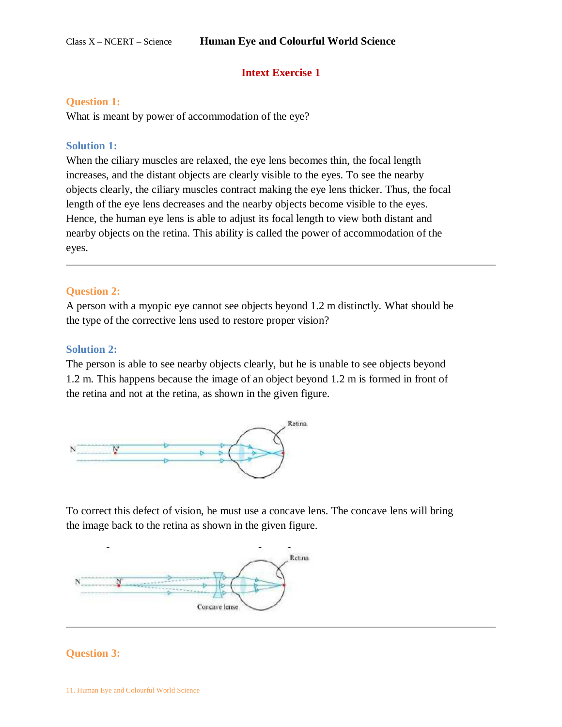# **Intext Exercise 1**

## **Question 1:**

What is meant by power of accommodation of the eye?

## **Solution 1:**

When the ciliary muscles are relaxed, the eye lens becomes thin, the focal length increases, and the distant objects are clearly visible to the eyes. To see the nearby objects clearly, the ciliary muscles contract making the eye lens thicker. Thus, the focal length of the eye lens decreases and the nearby objects become visible to the eyes. Hence, the human eye lens is able to adjust its focal length to view both distant and nearby objects on the retina. This ability is called the power of accommodation of the eyes.

## **Question 2:**

A person with a myopic eye cannot see objects beyond 1.2 m distinctly. What should be the type of the corrective lens used to restore proper vision?

## **Solution 2:**

The person is able to see nearby objects clearly, but he is unable to see objects beyond 1.2 m. This happens because the image of an object beyond 1.2 m is formed in front of the retina and not at the retina, as shown in the given figure.



To correct this defect of vision, he must use a concave lens. The concave lens will bring the image back to the retina as shown in the given figure.



# **[Question 3:](https://www.ncertbooks.guru/cbse-ncert-solutions-pdf/)**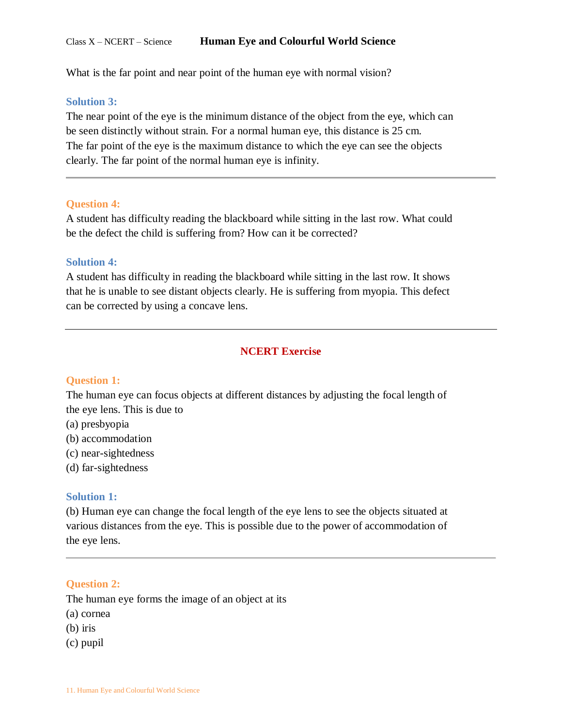What is the far point and near point of the human eye with normal vision?

### **Solution 3:**

The near point of the eye is the minimum distance of the object from the eye, which can be seen distinctly without strain. For a normal human eye, this distance is 25 cm. The far point of the eye is the maximum distance to which the eye can see the objects clearly. The far point of the normal human eye is infinity.

## **Question 4:**

A student has difficulty reading the blackboard while sitting in the last row. What could be the defect the child is suffering from? How can it be corrected?

## **Solution 4:**

A student has difficulty in reading the blackboard while sitting in the last row. It shows that he is unable to see distant objects clearly. He is suffering from myopia. This defect can be corrected by using a concave lens.

# **NCERT Exercise**

### **Question 1:**

The human eye can focus objects at different distances by adjusting the focal length of the eye lens. This is due to

- (a) presbyopia
- (b) accommodation
- (c) near-sightedness
- (d) far-sightedness

### **Solution 1:**

(b) Human eye can change the focal length of the eye lens to see the objects situated at various distances from the eye. This is possible due to the power of accommodation of the eye lens.

### **Question 2:**

The human eye forms the image of an object at its

- (a) cornea
- (b) iris
- (c) pupil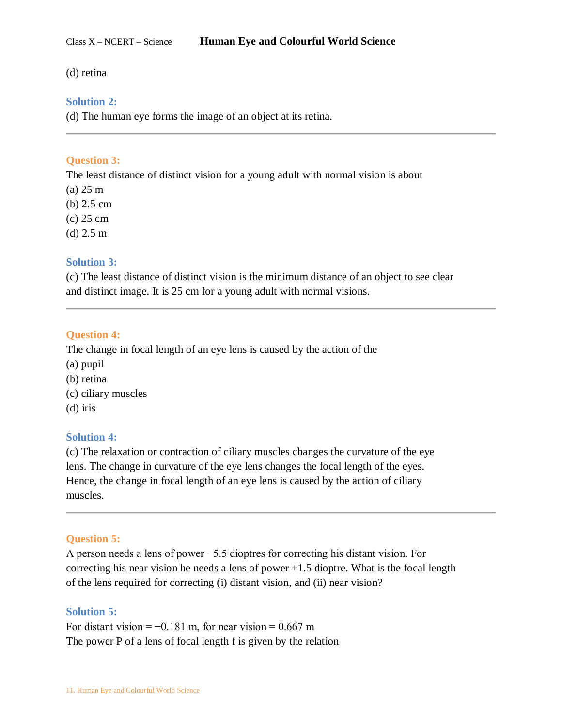## (d) retina

# **Solution 2:**

(d) The human eye forms the image of an object at its retina.

# **Question 3:**

The least distance of distinct vision for a young adult with normal vision is about

- (a) 25 m
- (b) 2.5 cm
- (c) 25 cm
- (d) 2.5 m

# **Solution 3:**

(c) The least distance of distinct vision is the minimum distance of an object to see clear and distinct image. It is 25 cm for a young adult with normal visions.

# **Question 4:**

The change in focal length of an eye lens is caused by the action of the

- (a) pupil
- (b) retina
- (c) ciliary muscles
- (d) iris

# **Solution 4:**

(c) The relaxation or contraction of ciliary muscles changes the curvature of the eye lens. The change in curvature of the eye lens changes the focal length of the eyes. Hence, the change in focal length of an eye lens is caused by the action of ciliary muscles.

# **Question 5:**

A person needs a lens of power −5.5 dioptres for correcting his distant vision. For correcting his near vision he needs a lens of power +1.5 dioptre. What is the focal length of the lens required for correcting (i) distant vision, and (ii) near vision?

# **Solution 5:**

For distant vision =  $-0.181$  m, for near vision = 0.667 m The power P of a lens of focal length f is given by the relation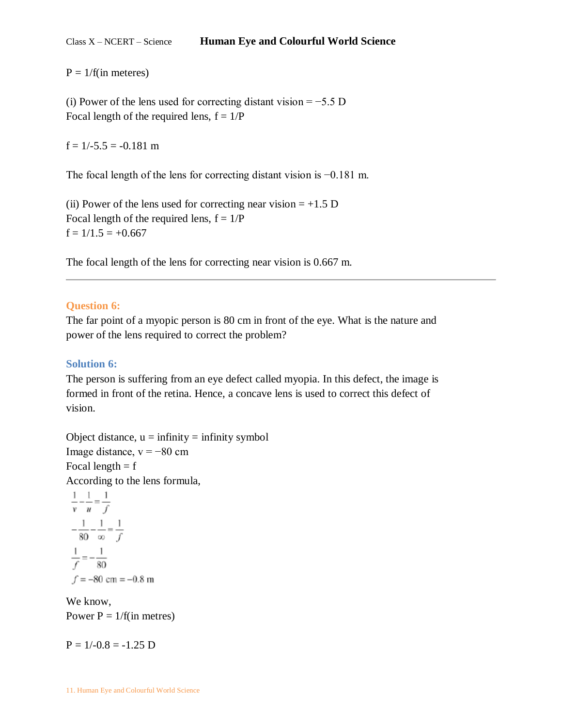$P = 1/f$ (in meteres)

(i) Power of the lens used for correcting distant vision =  $-5.5$  D Focal length of the required lens,  $f = 1/P$ 

 $f = 1/-5.5 = -0.181$  m

The focal length of the lens for correcting distant vision is −0.181 m.

(ii) Power of the lens used for correcting near vision  $= +1.5$  D Focal length of the required lens,  $f = 1/P$  $f = 1/1.5 = +0.667$ 

The focal length of the lens for correcting near vision is 0.667 m.

# **Question 6:**

The far point of a myopic person is 80 cm in front of the eye. What is the nature and power of the lens required to correct the problem?

# **Solution 6:**

The person is suffering from an eye defect called myopia. In this defect, the image is formed in front of the retina. Hence, a concave lens is used to correct this defect of vision.

Object distance,  $u = \text{infinity} = \text{infinity}$  symbol Image distance,  $v = -80$  cm Focal length  $= f$ According to the lens formula,  $1 \quad 1 \quad 1$ 

$$
\frac{1}{v} - \frac{1}{u} = \frac{1}{f}
$$
  

$$
-\frac{1}{80} - \frac{1}{\infty} = \frac{1}{f}
$$
  

$$
\frac{1}{f} = -\frac{1}{80}
$$
  

$$
f = -80 \text{ cm} = -0.8 \text{ m}
$$

We know, Power  $P = 1/f$ (in metres)

 $P = 1/-0.8 = -1.25$  D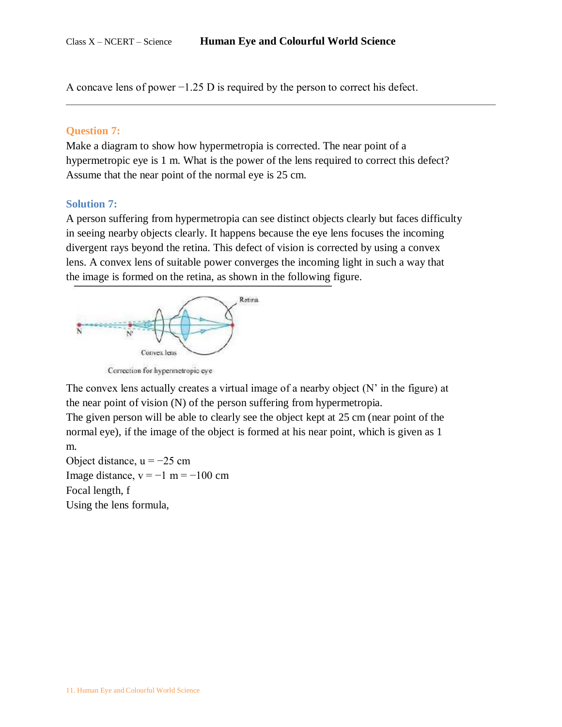A concave lens of power −1.25 D is required by the person to correct his defect.

### **Question 7:**

Make a diagram to show how hypermetropia is corrected. The near point of a hypermetropic eye is 1 m. What is the power of the lens required to correct this defect? Assume that the near point of the normal eye is 25 cm.

## **Solution 7:**

A person suffering from hypermetropia can see distinct objects clearly but faces difficulty in seeing nearby objects clearly. It happens because the eye lens focuses the incoming divergent rays beyond the retina. This defect of vision is corrected by using a convex lens. A convex lens of suitable power converges the incoming light in such a way that the image is formed on the retina, as shown in the following figure.



Correction for hypermetropic eye

The convex lens actually creates a virtual image of a nearby object  $(N'$  in the figure) at the near point of vision (N) of the person suffering from hypermetropia.

The given person will be able to clearly see the object kept at 25 cm (near point of the normal eye), if the image of the object is formed at his near point, which is given as 1 m.

Object distance,  $u = -25$  cm Image distance,  $v = -1$  m =  $-100$  cm Focal length, f Using the lens formula,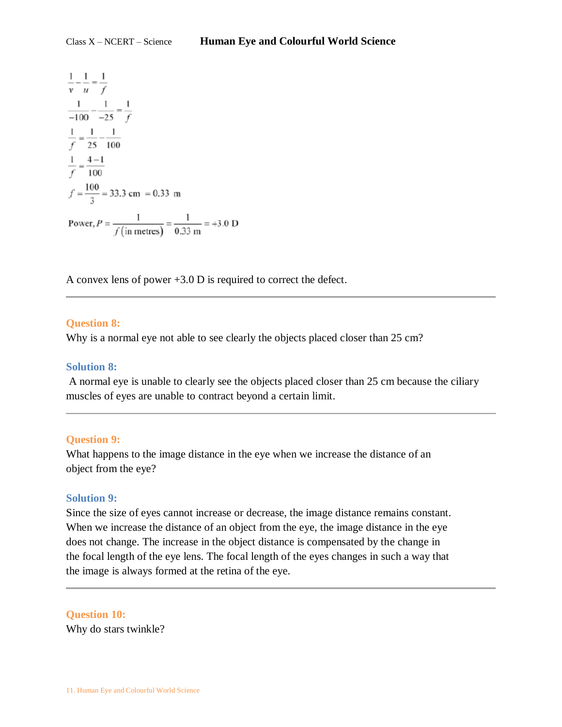$\frac{1}{v} - \frac{1}{u} = \frac{1}{f}$  $\frac{1}{-100} - \frac{1}{-25} = \frac{1}{f}$  $\frac{1}{f} = \frac{1}{25} - \frac{1}{100}$  $\frac{1}{f} = \frac{4-1}{100}$  $f = \frac{100}{3} = 33.3$  cm = 0.33 m Power,  $P = \frac{1}{f (in metres)} = \frac{1}{0.33 \text{ m}} = +3.0 \text{ D}$ 

A convex lens of power +3.0 D is required to correct the defect.

### **Question 8:**

Why is a normal eye not able to see clearly the objects placed closer than 25 cm?

### **Solution 8:**

A normal eye is unable to clearly see the objects placed closer than 25 cm because the ciliary muscles of eyes are unable to contract beyond a certain limit.

# **Question 9:**

What happens to the image distance in the eye when we increase the distance of an object from the eye?

# **Solution 9:**

Since the size of eyes cannot increase or decrease, the image distance remains constant. When we increase the distance of an object from the eye, the image distance in the eye does not change. The increase in the object distance is compensated by the change in the focal length of the eye lens. The focal length of the eyes changes in such a way that the image is always formed at the retina of the eye.

### **Question 10:**

Why do stars twinkle?